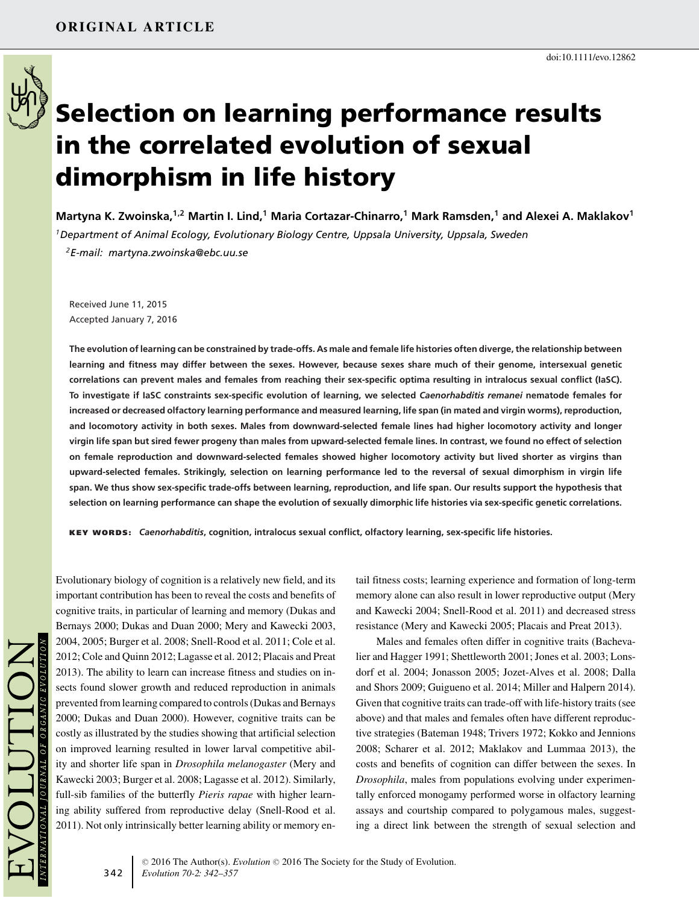

# **Selection on learning performance results in the correlated evolution of sexual dimorphism in life history**

**Martyna K. Zwoinska,1,2 Martin I. Lind,<sup>1</sup> Maria Cortazar-Chinarro,1 Mark Ramsden,1 and Alexei A. Maklakov<sup>1</sup>** *1Department of Animal Ecology, Evolutionary Biology Centre, Uppsala University, Uppsala, Sweden 2E-mail: martyna.zwoinska@ebc.uu.se*

Received June 11, 2015 Accepted January 7, 2016

**The evolution of learning can be constrained by trade-offs. As male and female life histories often diverge, the relationship between learning and fitness may differ between the sexes. However, because sexes share much of their genome, intersexual genetic correlations can prevent males and females from reaching their sex-specific optima resulting in intralocus sexual conflict (IaSC). To investigate if IaSC constraints sex-specific evolution of learning, we selected** *Caenorhabditis remanei* **nematode females for increased or decreased olfactory learning performance and measured learning, life span (in mated and virgin worms), reproduction, and locomotory activity in both sexes. Males from downward-selected female lines had higher locomotory activity and longer virgin life span but sired fewer progeny than males from upward-selected female lines. In contrast, we found no effect of selection on female reproduction and downward-selected females showed higher locomotory activity but lived shorter as virgins than upward-selected females. Strikingly, selection on learning performance led to the reversal of sexual dimorphism in virgin life span. We thus show sex-specific trade-offs between learning, reproduction, and life span. Our results support the hypothesis that selection on learning performance can shape the evolution of sexually dimorphic life histories via sex-specific genetic correlations.**

**KEY WORDS:** *Caenorhabditis***, cognition, intralocus sexual conflict, olfactory learning, sex-specific life histories.**

Evolutionary biology of cognition is a relatively new field, and its important contribution has been to reveal the costs and benefits of cognitive traits, in particular of learning and memory (Dukas and Bernays 2000; Dukas and Duan 2000; Mery and Kawecki 2003, 2004, 2005; Burger et al. 2008; Snell-Rood et al. 2011; Cole et al. 2012; Cole and Quinn 2012; Lagasse et al. 2012; Placais and Preat 2013). The ability to learn can increase fitness and studies on insects found slower growth and reduced reproduction in animals prevented from learning compared to controls (Dukas and Bernays 2000; Dukas and Duan 2000). However, cognitive traits can be costly as illustrated by the studies showing that artificial selection on improved learning resulted in lower larval competitive ability and shorter life span in *Drosophila melanogaster* (Mery and Kawecki 2003; Burger et al. 2008; Lagasse et al. 2012). Similarly, full-sib families of the butterfly *Pieris rapae* with higher learning ability suffered from reproductive delay (Snell-Rood et al. 2011). Not only intrinsically better learning ability or memory entail fitness costs; learning experience and formation of long-term memory alone can also result in lower reproductive output (Mery and Kawecki 2004; Snell-Rood et al. 2011) and decreased stress resistance (Mery and Kawecki 2005; Placais and Preat 2013).

Males and females often differ in cognitive traits (Bachevalier and Hagger 1991; Shettleworth 2001; Jones et al. 2003; Lonsdorf et al. 2004; Jonasson 2005; Jozet-Alves et al. 2008; Dalla and Shors 2009; Guigueno et al. 2014; Miller and Halpern 2014). Given that cognitive traits can trade-off with life-history traits (see above) and that males and females often have different reproductive strategies (Bateman 1948; Trivers 1972; Kokko and Jennions 2008; Scharer et al. 2012; Maklakov and Lummaa 2013), the costs and benefits of cognition can differ between the sexes. In *Drosophila*, males from populations evolving under experimentally enforced monogamy performed worse in olfactory learning assays and courtship compared to polygamous males, suggesting a direct link between the strength of sexual selection and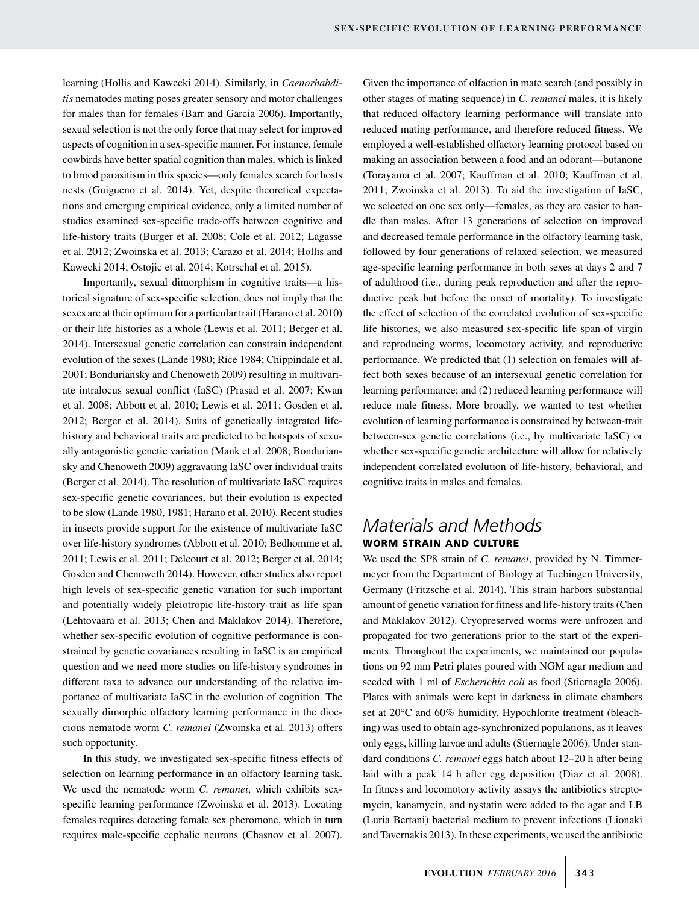learning (Hollis and Kawecki 2014). Similarly, in *Caenorhabditis* nematodes mating poses greater sensory and motor challenges for males than for females (Barr and Garcia 2006). Importantly, sexual selection is not the only force that may select for improved aspects of cognition in a sex-specific manner. For instance, female cowbirds have better spatial cognition than males, which is linked to brood parasitism in this species—only females search for hosts nests (Guigueno et al. 2014). Yet, despite theoretical expectations and emerging empirical evidence, only a limited number of studies examined sex-specific trade-offs between cognitive and life-history traits (Burger et al. 2008; Cole et al. 2012; Lagasse et al. 2012; Zwoinska et al. 2013; Carazo et al. 2014; Hollis and Kawecki 2014; Ostojic et al. 2014; Kotrschal et al. 2015).

Importantly, sexual dimorphism in cognitive traits—a historical signature of sex-specific selection, does not imply that the sexes are at their optimum for a particular trait (Harano et al. 2010) or their life histories as a whole (Lewis et al. 2011; Berger et al. 2014). Intersexual genetic correlation can constrain independent evolution of the sexes (Lande 1980; Rice 1984; Chippindale et al. 2001; Bonduriansky and Chenoweth 2009) resulting in multivariate intralocus sexual conflict (IaSC) (Prasad et al. 2007; Kwan et al. 2008; Abbott et al. 2010; Lewis et al. 2011; Gosden et al. 2012; Berger et al. 2014). Suits of genetically integrated lifehistory and behavioral traits are predicted to be hotspots of sexually antagonistic genetic variation (Mank et al. 2008; Bonduriansky and Chenoweth 2009) aggravating IaSC over individual traits (Berger et al. 2014). The resolution of multivariate IaSC requires sex-specific genetic covariances, but their evolution is expected to be slow (Lande 1980, 1981; Harano et al. 2010). Recent studies in insects provide support for the existence of multivariate IaSC over life-history syndromes (Abbott et al. 2010; Bedhomme et al. 2011; Lewis et al. 2011; Delcourt et al. 2012; Berger et al. 2014; Gosden and Chenoweth 2014). However, other studies also report high levels of sex-specific genetic variation for such important and potentially widely pleiotropic life-history trait as life span (Lehtovaara et al. 2013; Chen and Maklakov 2014). Therefore, whether sex-specific evolution of cognitive performance is constrained by genetic covariances resulting in IaSC is an empirical question and we need more studies on life-history syndromes in different taxa to advance our understanding of the relative importance of multivariate IaSC in the evolution of cognition. The sexually dimorphic olfactory learning performance in the dioecious nematode worm *C. remanei* (Zwoinska et al. 2013) offers such opportunity.

In this study, we investigated sex-specific fitness effects of selection on learning performance in an olfactory learning task. We used the nematode worm *C. remanei*, which exhibits sexspecific learning performance (Zwoinska et al. 2013). Locating females requires detecting female sex pheromone, which in turn requires male-specific cephalic neurons (Chasnov et al. 2007).

Given the importance of olfaction in mate search (and possibly in other stages of mating sequence) in *C. remanei* males, it is likely that reduced olfactory learning performance will translate into reduced mating performance, and therefore reduced fitness. We employed a well-established olfactory learning protocol based on making an association between a food and an odorant—butanone (Torayama et al. 2007; Kauffman et al. 2010; Kauffman et al. 2011; Zwoinska et al. 2013). To aid the investigation of IaSC, we selected on one sex only—females, as they are easier to handle than males. After 13 generations of selection on improved and decreased female performance in the olfactory learning task, followed by four generations of relaxed selection, we measured age-specific learning performance in both sexes at days 2 and 7 of adulthood (i.e., during peak reproduction and after the reproductive peak but before the onset of mortality). To investigate the effect of selection of the correlated evolution of sex-specific life histories, we also measured sex-specific life span of virgin and reproducing worms, locomotory activity, and reproductive performance. We predicted that (1) selection on females will affect both sexes because of an intersexual genetic correlation for learning performance; and (2) reduced learning performance will reduce male fitness. More broadly, we wanted to test whether evolution of learning performance is constrained by between-trait between-sex genetic correlations (i.e., by multivariate IaSC) or whether sex-specific genetic architecture will allow for relatively independent correlated evolution of life-history, behavioral, and cognitive traits in males and females.

# *Materials and Methods* **WORM STRAIN AND CULTURE**

We used the SP8 strain of *C. remanei*, provided by N. Timmermeyer from the Department of Biology at Tuebingen University, Germany (Fritzsche et al. 2014). This strain harbors substantial amount of genetic variation for fitness and life-history traits (Chen and Maklakov 2012). Cryopreserved worms were unfrozen and propagated for two generations prior to the start of the experiments. Throughout the experiments, we maintained our populations on 92 mm Petri plates poured with NGM agar medium and seeded with 1 ml of *Escherichia coli* as food (Stiernagle 2006). Plates with animals were kept in darkness in climate chambers set at 20°C and 60% humidity. Hypochlorite treatment (bleaching) was used to obtain age-synchronized populations, as it leaves only eggs, killing larvae and adults (Stiernagle 2006). Under standard conditions *C. remanei* eggs hatch about 12–20 h after being laid with a peak 14 h after egg deposition (Diaz et al. 2008). In fitness and locomotory activity assays the antibiotics streptomycin, kanamycin, and nystatin were added to the agar and LB (Luria Bertani) bacterial medium to prevent infections (Lionaki and Tavernakis 2013). In these experiments, we used the antibiotic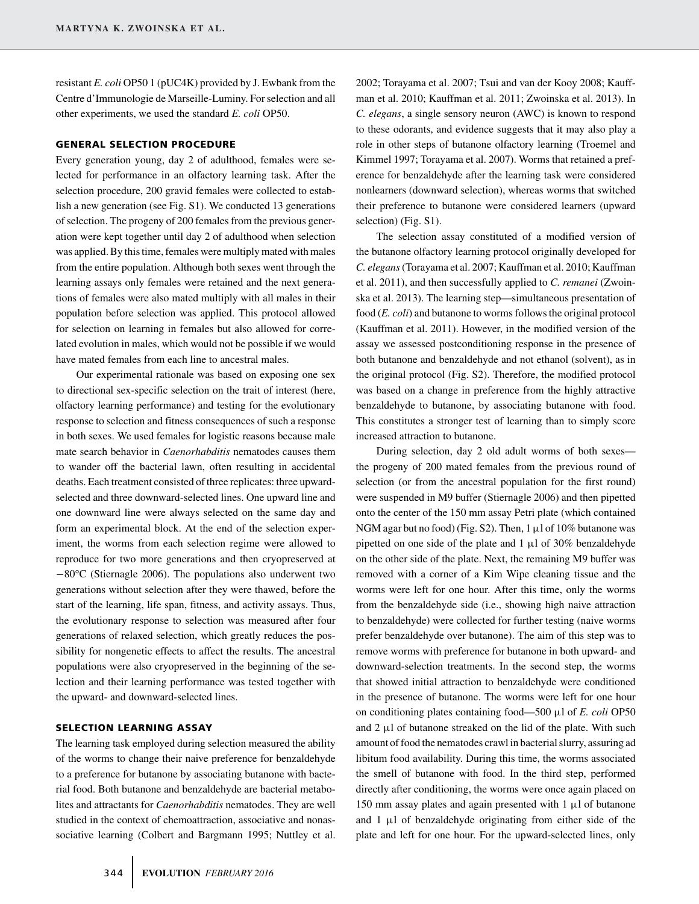resistant *E. coli* OP50 1 (pUC4K) provided by J. Ewbank from the Centre d'Immunologie de Marseille-Luminy. For selection and all other experiments, we used the standard *E. coli* OP50.

#### **GENERAL SELECTION PROCEDURE**

Every generation young, day 2 of adulthood, females were selected for performance in an olfactory learning task. After the selection procedure, 200 gravid females were collected to establish a new generation (see Fig. S1). We conducted 13 generations of selection. The progeny of 200 females from the previous generation were kept together until day 2 of adulthood when selection was applied. By this time, females were multiply mated with males from the entire population. Although both sexes went through the learning assays only females were retained and the next generations of females were also mated multiply with all males in their population before selection was applied. This protocol allowed for selection on learning in females but also allowed for correlated evolution in males, which would not be possible if we would have mated females from each line to ancestral males.

Our experimental rationale was based on exposing one sex to directional sex-specific selection on the trait of interest (here, olfactory learning performance) and testing for the evolutionary response to selection and fitness consequences of such a response in both sexes. We used females for logistic reasons because male mate search behavior in *Caenorhabditis* nematodes causes them to wander off the bacterial lawn, often resulting in accidental deaths. Each treatment consisted of three replicates: three upwardselected and three downward-selected lines. One upward line and one downward line were always selected on the same day and form an experimental block. At the end of the selection experiment, the worms from each selection regime were allowed to reproduce for two more generations and then cryopreserved at <sup>−</sup>80°C (Stiernagle 2006). The populations also underwent two generations without selection after they were thawed, before the start of the learning, life span, fitness, and activity assays. Thus, the evolutionary response to selection was measured after four generations of relaxed selection, which greatly reduces the possibility for nongenetic effects to affect the results. The ancestral populations were also cryopreserved in the beginning of the selection and their learning performance was tested together with the upward- and downward-selected lines.

#### **SELECTION LEARNING ASSAY**

The learning task employed during selection measured the ability of the worms to change their naive preference for benzaldehyde to a preference for butanone by associating butanone with bacterial food. Both butanone and benzaldehyde are bacterial metabolites and attractants for *Caenorhabditis* nematodes. They are well studied in the context of chemoattraction, associative and nonassociative learning (Colbert and Bargmann 1995; Nuttley et al.

2002; Torayama et al. 2007; Tsui and van der Kooy 2008; Kauffman et al. 2010; Kauffman et al. 2011; Zwoinska et al. 2013). In *C. elegans*, a single sensory neuron (AWC) is known to respond to these odorants, and evidence suggests that it may also play a role in other steps of butanone olfactory learning (Troemel and Kimmel 1997; Torayama et al. 2007). Worms that retained a preference for benzaldehyde after the learning task were considered nonlearners (downward selection), whereas worms that switched their preference to butanone were considered learners (upward selection) (Fig. S1).

The selection assay constituted of a modified version of the butanone olfactory learning protocol originally developed for *C. elegans*(Torayama et al. 2007; Kauffman et al. 2010; Kauffman et al. 2011), and then successfully applied to *C. remanei* (Zwoinska et al. 2013). The learning step—simultaneous presentation of food (*E. coli*) and butanone to worms follows the original protocol (Kauffman et al. 2011). However, in the modified version of the assay we assessed postconditioning response in the presence of both butanone and benzaldehyde and not ethanol (solvent), as in the original protocol (Fig. S2). Therefore, the modified protocol was based on a change in preference from the highly attractive benzaldehyde to butanone, by associating butanone with food. This constitutes a stronger test of learning than to simply score increased attraction to butanone.

During selection, day 2 old adult worms of both sexes the progeny of 200 mated females from the previous round of selection (or from the ancestral population for the first round) were suspended in M9 buffer (Stiernagle 2006) and then pipetted onto the center of the 150 mm assay Petri plate (which contained NGM agar but no food) (Fig. S2). Then, 1 μl of 10% butanone was pipetted on one side of the plate and 1 μl of 30% benzaldehyde on the other side of the plate. Next, the remaining M9 buffer was removed with a corner of a Kim Wipe cleaning tissue and the worms were left for one hour. After this time, only the worms from the benzaldehyde side (i.e., showing high naive attraction to benzaldehyde) were collected for further testing (naive worms prefer benzaldehyde over butanone). The aim of this step was to remove worms with preference for butanone in both upward- and downward-selection treatments. In the second step, the worms that showed initial attraction to benzaldehyde were conditioned in the presence of butanone. The worms were left for one hour on conditioning plates containing food—500 μl of *E. coli* OP50 and  $2 \mu l$  of butanone streaked on the lid of the plate. With such amount of food the nematodes crawl in bacterial slurry, assuring ad libitum food availability. During this time, the worms associated the smell of butanone with food. In the third step, performed directly after conditioning, the worms were once again placed on 150 mm assay plates and again presented with 1 μl of butanone and 1 μl of benzaldehyde originating from either side of the plate and left for one hour. For the upward-selected lines, only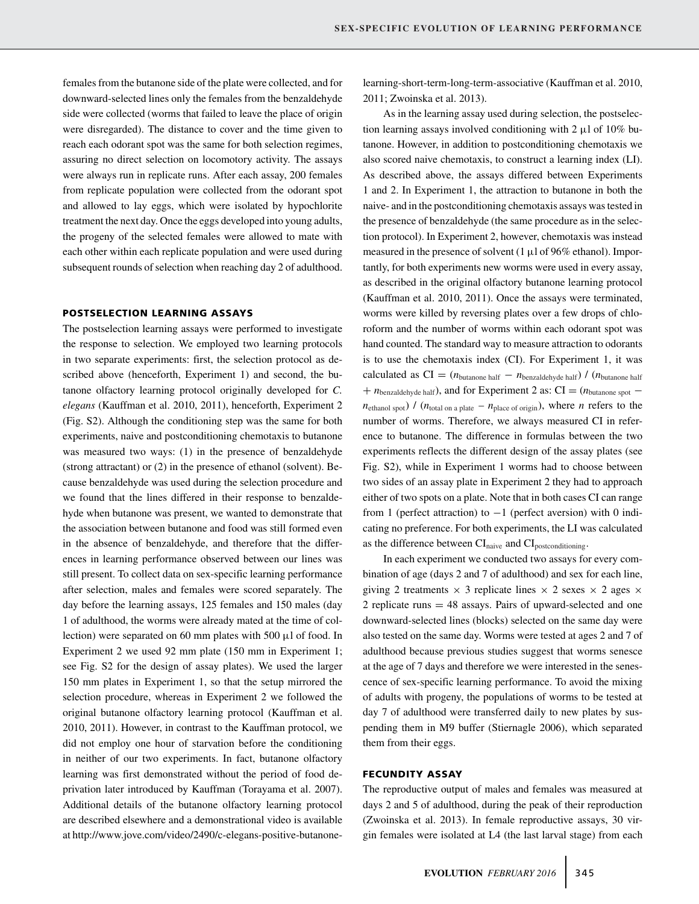females from the butanone side of the plate were collected, and for downward-selected lines only the females from the benzaldehyde side were collected (worms that failed to leave the place of origin were disregarded). The distance to cover and the time given to reach each odorant spot was the same for both selection regimes, assuring no direct selection on locomotory activity. The assays were always run in replicate runs. After each assay, 200 females from replicate population were collected from the odorant spot and allowed to lay eggs, which were isolated by hypochlorite tr[eatment the next day. Once the eggs developed into young adults,](http://www.jove.com/video/2490/c-elegans-positive-butanone-learning-short-term-long-term-associative) the progeny of the selected females were allowed to mate with each other within each replicate population and were used during subsequent rounds of selection when reaching day 2 of adulthood.

#### **POSTSELECTION LEARNING ASSAYS**

The postselection learning assays were performed to investigate the response to selection. We employed two learning protocols in two separate experiments: first, the selection protocol as described above (henceforth, Experiment 1) and second, the butanone olfactory learning protocol originally developed for *C. elegans* (Kauffman et al. 2010, 2011), henceforth, Experiment 2 (Fig. S2). Although the conditioning step was the same for both experiments, naive and postconditioning chemotaxis to butanone was measured two ways: (1) in the presence of benzaldehyde (strong attractant) or (2) in the presence of ethanol (solvent). Because benzaldehyde was used during the selection procedure and we found that the lines differed in their response to benzaldehyde when butanone was present, we wanted to demonstrate that the association between butanone and food was still formed even in the absence of benzaldehyde, and therefore that the differences in learning performance observed between our lines was still present. To collect data on sex-specific learning performance after selection, males and females were scored separately. The day before the learning assays, 125 females and 150 males (day 1 of adulthood, the worms were already mated at the time of collection) were separated on 60 mm plates with 500 μl of food. In Experiment 2 we used 92 mm plate (150 mm in Experiment 1; see Fig. S2 for the design of assay plates). We used the larger 150 mm plates in Experiment 1, so that the setup mirrored the selection procedure, whereas in Experiment 2 we followed the original butanone olfactory learning protocol (Kauffman et al. 2010, 2011). However, in contrast to the Kauffman protocol, we did not employ one hour of starvation before the conditioning in neither of our two experiments. In fact, butanone olfactory learning was first demonstrated without the period of food deprivation later introduced by Kauffman (Torayama et al. 2007). Additional details of the butanone olfactory learning protocol are described elsewhere and a demonstrational video is available at http://www.jove.com/video/2490/c-elegans-positive-butanonelearning-short-term-long-term-associative (Kauffman et al. 2010, 2011; Zwoinska et al. 2013).

As in the learning assay used during selection, the postselection learning assays involved conditioning with  $2 \mu$ l of 10% butanone. However, in addition to postconditioning chemotaxis we also scored naive chemotaxis, to construct a learning index (LI). As described above, the assays differed between Experiments 1 and 2. In Experiment 1, the attraction to butanone in both the naive- and in the postconditioning chemotaxis assays was tested in the presence of benzaldehyde (the same procedure as in the selection protocol). In Experiment 2, however, chemotaxis was instead measured in the presence of solvent  $(1 \mu 1$  of 96% ethanol). Importantly, for both experiments new worms were used in every assay, as described in the original olfactory butanone learning protocol (Kauffman et al. 2010, 2011). Once the assays were terminated, worms were killed by reversing plates over a few drops of chloroform and the number of worms within each odorant spot was hand counted. The standard way to measure attraction to odorants is to use the chemotaxis index (CI). For Experiment 1, it was calculated as  $CI = (n_{\text{butanone half}} - n_{\text{benzaldehyde half}}) / (n_{\text{butanone half}})$  $+ n_{\text{benzaldehyde half}}$ , and for Experiment 2 as: CI =  $(n_{\text{butanone spot}}$  $n_{\text{ethanol spot}}/T$  ( $n_{\text{total on a plate}} - n_{\text{place of origin}}$ ), where *n* refers to the number of worms. Therefore, we always measured CI in reference to butanone. The difference in formulas between the two experiments reflects the different design of the assay plates (see Fig. S2), while in Experiment 1 worms had to choose between two sides of an assay plate in Experiment 2 they had to approach either of two spots on a plate. Note that in both cases CI can range from 1 (perfect attraction) to  $-1$  (perfect aversion) with 0 indicating no preference. For both experiments, the LI was calculated as the difference between CI<sub>naive</sub> and CI<sub>postconditioning</sub>.

In each experiment we conducted two assays for every combination of age (days 2 and 7 of adulthood) and sex for each line, giving 2 treatments  $\times$  3 replicate lines  $\times$  2 sexes  $\times$  2 ages  $\times$ 2 replicate runs  $= 48$  assays. Pairs of upward-selected and one downward-selected lines (blocks) selected on the same day were also tested on the same day. Worms were tested at ages 2 and 7 of adulthood because previous studies suggest that worms senesce at the age of 7 days and therefore we were interested in the senescence of sex-specific learning performance. To avoid the mixing of adults with progeny, the populations of worms to be tested at day 7 of adulthood were transferred daily to new plates by suspending them in M9 buffer (Stiernagle 2006), which separated them from their eggs.

#### **FECUNDITY ASSAY**

The reproductive output of males and females was measured at days 2 and 5 of adulthood, during the peak of their reproduction (Zwoinska et al. 2013). In female reproductive assays, 30 virgin females were isolated at L4 (the last larval stage) from each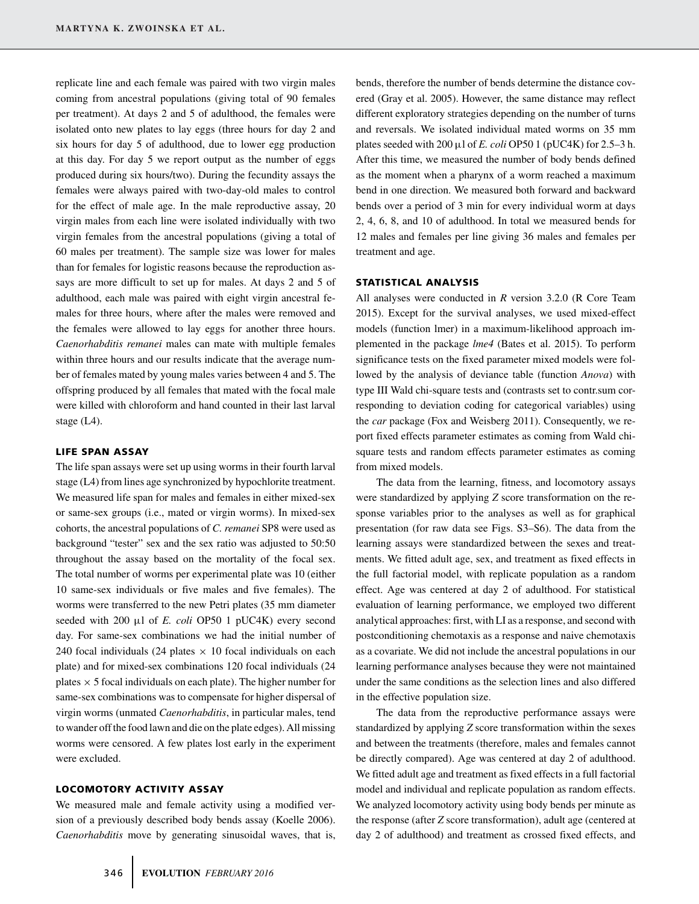replicate line and each female was paired with two virgin males coming from ancestral populations (giving total of 90 females per treatment). At days 2 and 5 of adulthood, the females were isolated onto new plates to lay eggs (three hours for day 2 and six hours for day 5 of adulthood, due to lower egg production at this day. For day 5 we report output as the number of eggs produced during six hours/two). During the fecundity assays the females were always paired with two-day-old males to control for the effect of male age. In the male reproductive assay, 20 virgin males from each line were isolated individually with two virgin females from the ancestral populations (giving a total of 60 males per treatment). The sample size was lower for males than for females for logistic reasons because the reproduction assays are more difficult to set up for males. At days 2 and 5 of adulthood, each male was paired with eight virgin ancestral females for three hours, where after the males were removed and the females were allowed to lay eggs for another three hours. *Caenorhabditis remanei* males can mate with multiple females within three hours and our results indicate that the average number of females mated by young males varies between 4 and 5. The offspring produced by all females that mated with the focal male were killed with chloroform and hand counted in their last larval stage (L4).

#### **LIFE SPAN ASSAY**

The life span assays were set up using worms in their fourth larval stage (L4) from lines age synchronized by hypochlorite treatment. We measured life span for males and females in either mixed-sex or same-sex groups (i.e., mated or virgin worms). In mixed-sex cohorts, the ancestral populations of *C. remanei* SP8 were used as background "tester" sex and the sex ratio was adjusted to 50:50 throughout the assay based on the mortality of the focal sex. The total number of worms per experimental plate was 10 (either 10 same-sex individuals or five males and five females). The worms were transferred to the new Petri plates (35 mm diameter seeded with 200 μl of *E. coli* OP50 1 pUC4K) every second day. For same-sex combinations we had the initial number of 240 focal individuals (24 plates  $\times$  10 focal individuals on each plate) and for mixed-sex combinations 120 focal individuals (24 plates  $\times$  5 focal individuals on each plate). The higher number for same-sex combinations was to compensate for higher dispersal of virgin worms (unmated *Caenorhabditis*, in particular males, tend to wander off the food lawn and die on the plate edges). All missing worms were censored. A few plates lost early in the experiment were excluded.

#### **LOCOMOTORY ACTIVITY ASSAY**

We measured male and female activity using a modified version of a previously described body bends assay (Koelle 2006). *Caenorhabditis* move by generating sinusoidal waves, that is,

bends, therefore the number of bends determine the distance covered (Gray et al. 2005). However, the same distance may reflect different exploratory strategies depending on the number of turns and reversals. We isolated individual mated worms on 35 mm plates seeded with  $200 \mu$ l of *E. coli* OP50 1 (pUC4K) for 2.5–3 h. After this time, we measured the number of body bends defined as the moment when a pharynx of a worm reached a maximum bend in one direction. We measured both forward and backward bends over a period of 3 min for every individual worm at days 2, 4, 6, 8, and 10 of adulthood. In total we measured bends for 12 males and females per line giving 36 males and females per treatment and age.

#### **STATISTICAL ANALYSIS**

All analyses were conducted in *R* version 3.2.0 (R Core Team 2015). Except for the survival analyses, we used mixed-effect models (function lmer) in a maximum-likelihood approach implemented in the package *lme4* (Bates et al. 2015). To perform significance tests on the fixed parameter mixed models were followed by the analysis of deviance table (function *Anova*) with type III Wald chi-square tests and (contrasts set to contr.sum corresponding to deviation coding for categorical variables) using the *car* package (Fox and Weisberg 2011). Consequently, we report fixed effects parameter estimates as coming from Wald chisquare tests and random effects parameter estimates as coming from mixed models.

The data from the learning, fitness, and locomotory assays were standardized by applying *Z* score transformation on the response variables prior to the analyses as well as for graphical presentation (for raw data see Figs. S3–S6). The data from the learning assays were standardized between the sexes and treatments. We fitted adult age, sex, and treatment as fixed effects in the full factorial model, with replicate population as a random effect. Age was centered at day 2 of adulthood. For statistical evaluation of learning performance, we employed two different analytical approaches: first, with LI as a response, and second with postconditioning chemotaxis as a response and naive chemotaxis as a covariate. We did not include the ancestral populations in our learning performance analyses because they were not maintained under the same conditions as the selection lines and also differed in the effective population size.

The data from the reproductive performance assays were standardized by applying *Z* score transformation within the sexes and between the treatments (therefore, males and females cannot be directly compared). Age was centered at day 2 of adulthood. We fitted adult age and treatment as fixed effects in a full factorial model and individual and replicate population as random effects. We analyzed locomotory activity using body bends per minute as the response (after *Z* score transformation), adult age (centered at day 2 of adulthood) and treatment as crossed fixed effects, and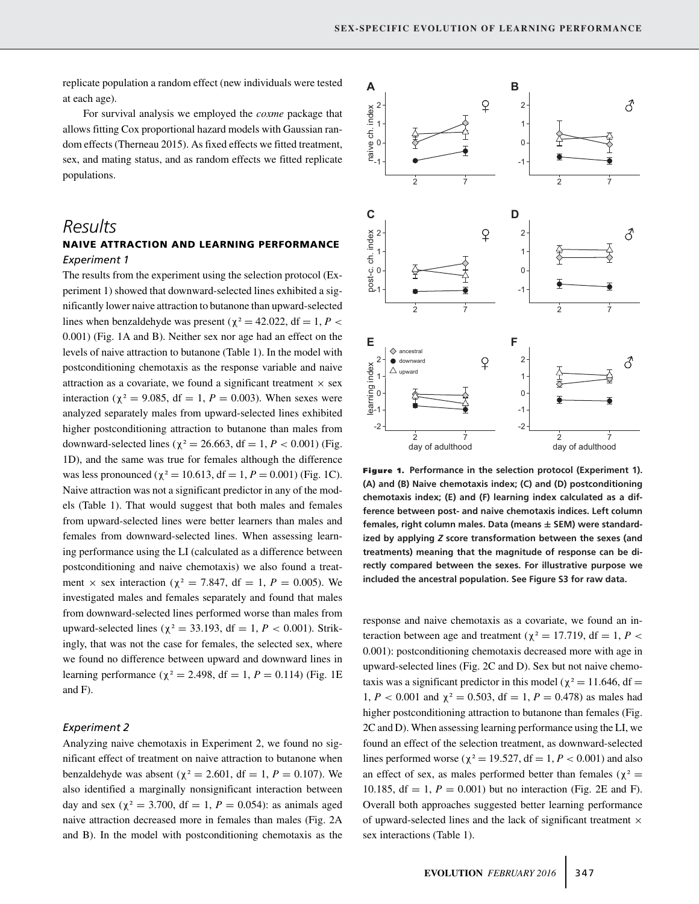replicate population a random effect (new individuals were tested at each age).

For survival analysis we employed the *coxme* package that allows fitting Cox proportional hazard models with Gaussian random effects (Therneau 2015). As fixed effects we fitted treatment, sex, and mating status, and as random effects we fitted replicate populations.

# *Results*

### **NAIVE ATTRACTION AND LEARNING PERFORMANCE** *Experiment 1*

The results from the experiment using the selection protocol (Experiment 1) showed that downward-selected lines exhibited a significantly lower naive attraction to butanone than upward-selected lines when benzaldehyde was present ( $\chi^2 = 42.022$ , df = 1, P < 0.001) (Fig. 1A and B). Neither sex nor age had an effect on the levels of naive attraction to butanone (Table 1). In the model with postconditioning chemotaxis as the response variable and naive attraction as a covariate, we found a significant treatment  $\times$  sex interaction ( $\chi^2 = 9.085$ , df = 1, P = 0.003). When sexes were analyzed separately males from upward-selected lines exhibited higher postconditioning attraction to butanone than males from downward-selected lines ( $\chi^2 = 26.663$ , df = 1, *P* < 0.001) (Fig. 1D), and the same was true for females although the difference was less pronounced ( $\chi^2 = 10.613$ , df = 1, *P* = 0.001) (Fig. 1C). Naive attraction was not a significant predictor in any of the models (Table 1). That would suggest that both males and females from upward-selected lines were better learners than males and females from downward-selected lines. When assessing learning performance using the LI (calculated as a difference between postconditioning and naive chemotaxis) we also found a treatment  $\times$  sex interaction ( $\chi^2 = 7.847$ , df = 1, P = 0.005). We investigated males and females separately and found that males from downward-selected lines performed worse than males from upward-selected lines ( $\chi^2 = 33.193$ , df = 1, *P* < 0.001). Strikingly, that was not the case for females, the selected sex, where we found no difference between upward and downward lines in learning performance ( $χ² = 2.498$ , df = 1, P = 0.114) (Fig. 1E and F).

#### *Experiment 2*

Analyzing naive chemotaxis in Experiment 2, we found no significant effect of treatment on naive attraction to butanone when benzaldehyde was absent ( $χ² = 2.601$ , df = 1, P = 0.107). We also identified a marginally nonsignificant interaction between day and sex ( $\chi^2 = 3.700$ , df = 1,  $P = 0.054$ ): as animals aged naive attraction decreased more in females than males (Fig. 2A and B). In the model with postconditioning chemotaxis as the



**Figure 1. Performance in the selection protocol (Experiment 1). (A) and (B) Naive chemotaxis index; (C) and (D) postconditioning chemotaxis index; (E) and (F) learning index calculated as a difference between post- and naive chemotaxis indices. Left column females, right column males. Data (means ± SEM) were standardized by applying** *Z* **score transformation between the sexes (and treatments) meaning that the magnitude of response can be directly compared between the sexes. For illustrative purpose we included the ancestral population. See Figure S3 for raw data.**

response and naive chemotaxis as a covariate, we found an interaction between age and treatment ( $\chi^2 = 17.719$ , df = 1, P < 0.001): postconditioning chemotaxis decreased more with age in upward-selected lines (Fig. 2C and D). Sex but not naive chemotaxis was a significant predictor in this model ( $\chi^2$  = 11.646, df = 1,  $P < 0.001$  and  $\chi^2 = 0.503$ , df = 1,  $P = 0.478$ ) as males had higher postconditioning attraction to butanone than females (Fig. 2C and D). When assessing learning performance using the LI, we found an effect of the selection treatment, as downward-selected lines performed worse ( $\chi^2 = 19.527$ , df = 1, *P* < 0.001) and also an effect of sex, as males performed better than females ( $\chi^2$  = 10.185, df = 1,  $P = 0.001$ ) but no interaction (Fig. 2E and F). Overall both approaches suggested better learning performance of upward-selected lines and the lack of significant treatment  $\times$ sex interactions (Table 1).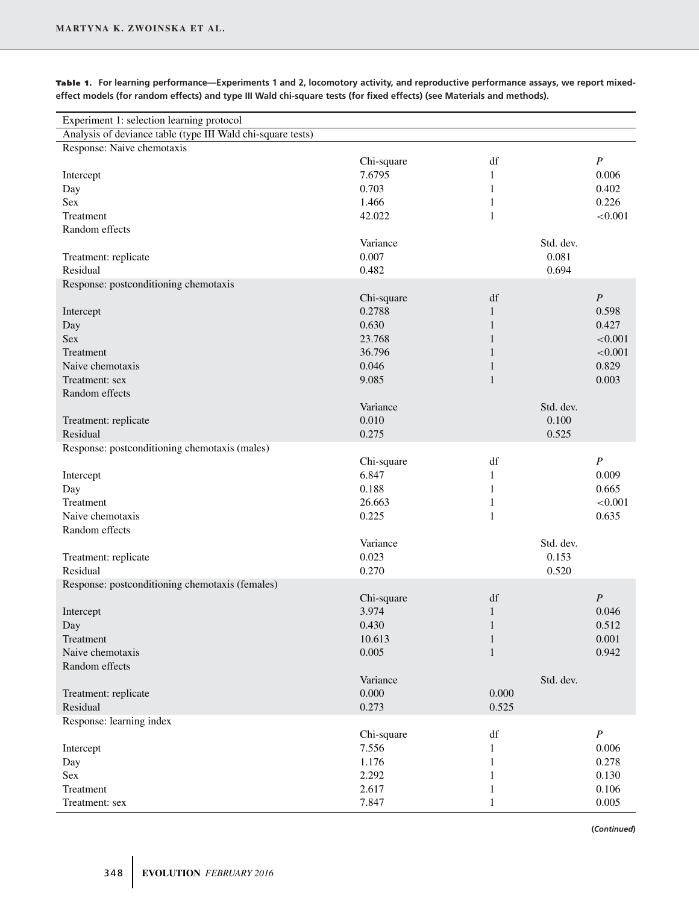Table 1. For learning performance—Experiments 1 and 2, locomotory activity, and reproductive performance assays, we report mixed**effect models (for random effects) and type III Wald chi-square tests (for fixed effects) (see Materials and methods).**

| Experiment 1: selection learning protocol<br>Analysis of deviance table (type III Wald chi-square tests) |                      |                        |                  |
|----------------------------------------------------------------------------------------------------------|----------------------|------------------------|------------------|
|                                                                                                          |                      |                        |                  |
| Response: Naive chemotaxis                                                                               |                      | df                     | $\cal P$         |
| Intercept                                                                                                | Chi-square<br>7.6795 | 1                      | 0.006            |
|                                                                                                          | 0.703                |                        |                  |
| Day                                                                                                      |                      | 1                      | 0.402            |
| Sex                                                                                                      | 1.466                | 1                      | 0.226            |
| Treatment                                                                                                | 42.022               | 1                      | < 0.001          |
| Random effects                                                                                           |                      |                        |                  |
|                                                                                                          | Variance             | Std. dev.              |                  |
| Treatment: replicate                                                                                     | 0.007                | 0.081                  |                  |
| Residual                                                                                                 | 0.482                | 0.694                  |                  |
| Response: postconditioning chemotaxis                                                                    |                      |                        |                  |
|                                                                                                          | Chi-square           | df                     | $\boldsymbol{P}$ |
| Intercept                                                                                                | 0.2788               | $\mathbf{1}$           | 0.598            |
| Day                                                                                                      | 0.630                | 1                      | 0.427            |
| Sex                                                                                                      | 23.768               | 1                      | < 0.001          |
| Treatment                                                                                                | 36.796               | $\mathbf{1}$           | < 0.001          |
| Naive chemotaxis                                                                                         | 0.046                | $\mathbf{1}$           | 0.829            |
| Treatment: sex                                                                                           | 9.085                | $\mathbf{1}$           | 0.003            |
| Random effects                                                                                           |                      |                        |                  |
|                                                                                                          | Variance             | Std. dev.              |                  |
| Treatment: replicate                                                                                     | 0.010                | 0.100                  |                  |
| Residual                                                                                                 | 0.275                | 0.525                  |                  |
| Response: postconditioning chemotaxis (males)                                                            |                      |                        |                  |
|                                                                                                          | Chi-square           | df                     | $\boldsymbol{P}$ |
| Intercept                                                                                                | 6.847                | 1                      | 0.009            |
| Day                                                                                                      | 0.188                | 1                      | 0.665            |
| Treatment                                                                                                | 26.663               | $\mathbf{1}$           | < 0.001          |
| Naive chemotaxis                                                                                         | 0.225                | 1                      | 0.635            |
| Random effects                                                                                           |                      |                        |                  |
|                                                                                                          | Variance             | Std. dev.              |                  |
| Treatment: replicate                                                                                     | 0.023                | 0.153                  |                  |
| Residual                                                                                                 | 0.270                | 0.520                  |                  |
| Response: postconditioning chemotaxis (females)                                                          |                      |                        |                  |
|                                                                                                          | Chi-square           | df                     | $\boldsymbol{P}$ |
| Intercept                                                                                                | 3.974                | $\mathbf{1}$           | 0.046            |
| Day                                                                                                      | 0.430                | $\mathbf{1}$           | 0.512            |
| Treatment                                                                                                | 10.613               | $\,1$                  | 0.001            |
| Naive chemotaxis                                                                                         | 0.005                | $\mathbf{1}$           | 0.942            |
| Random effects                                                                                           |                      |                        |                  |
|                                                                                                          | Variance             | Std. dev.              |                  |
| Treatment: replicate                                                                                     | 0.000                | 0.000                  |                  |
| Residual                                                                                                 | 0.273                | 0.525                  |                  |
| Response: learning index                                                                                 |                      |                        |                  |
|                                                                                                          | Chi-square           | $\mathrm{d}\mathrm{f}$ | $\boldsymbol{P}$ |
| Intercept                                                                                                | 7.556                | $\mathbf{1}$           | 0.006            |
| Day                                                                                                      | 1.176                | 1                      | 0.278            |
| Sex                                                                                                      | 2.292                | 1                      | 0.130            |
| Treatment                                                                                                | 2.617                | 1                      | 0.106            |
| Treatment: sex                                                                                           | 7.847                | $\mathbf{1}$           | 0.005            |
|                                                                                                          |                      |                        |                  |

**(***Continued***)**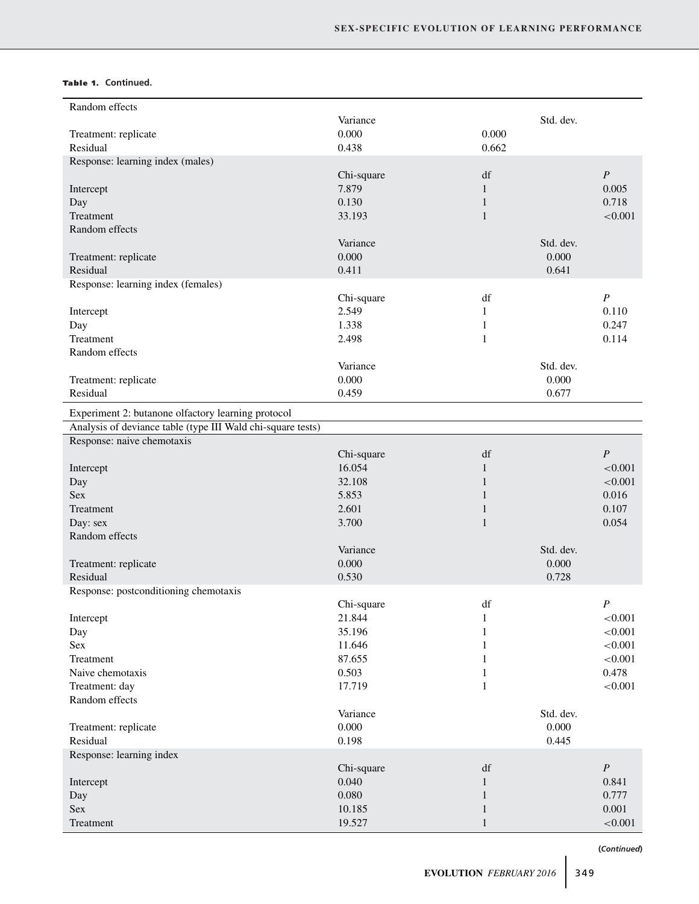## **Table 1. Continued.**

| Random effects                                              |            |                        |           |                  |
|-------------------------------------------------------------|------------|------------------------|-----------|------------------|
|                                                             | Variance   |                        | Std. dev. |                  |
| Treatment: replicate                                        | 0.000      | 0.000                  |           |                  |
| Residual                                                    | 0.438      | 0.662                  |           |                  |
| Response: learning index (males)                            |            |                        |           |                  |
|                                                             | Chi-square | df                     |           | $\boldsymbol{P}$ |
| Intercept                                                   | 7.879      | 1                      |           | 0.005            |
| Day                                                         | 0.130      | 1                      |           | 0.718            |
| Treatment                                                   | 33.193     | 1                      |           | < 0.001          |
| Random effects                                              |            |                        |           |                  |
|                                                             | Variance   |                        | Std. dev. |                  |
| Treatment: replicate                                        | 0.000      |                        | 0.000     |                  |
| Residual                                                    | 0.411      |                        | 0.641     |                  |
| Response: learning index (females)                          |            |                        |           |                  |
|                                                             | Chi-square | df                     |           | $\boldsymbol{P}$ |
| Intercept                                                   | 2.549      | 1                      |           | 0.110            |
| Day                                                         | 1.338      | $\mathbf{1}$           |           | 0.247            |
| Treatment                                                   | 2.498      | $\mathbf{1}$           |           | 0.114            |
| Random effects                                              |            |                        |           |                  |
|                                                             | Variance   |                        | Std. dev. |                  |
|                                                             | 0.000      |                        | 0.000     |                  |
| Treatment: replicate<br>Residual                            |            |                        |           |                  |
|                                                             | 0.459      |                        | 0.677     |                  |
| Experiment 2: butanone olfactory learning protocol          |            |                        |           |                  |
| Analysis of deviance table (type III Wald chi-square tests) |            |                        |           |                  |
| Response: naive chemotaxis                                  |            |                        |           |                  |
|                                                             | Chi-square | df                     |           | $\boldsymbol{P}$ |
| Intercept                                                   | 16.054     | 1                      |           | < 0.001          |
| Day                                                         | 32.108     | 1                      |           | < 0.001          |
| Sex.                                                        | 5.853      | 1                      |           | 0.016            |
| Treatment                                                   | 2.601      | $\mathbf{1}$           |           | 0.107            |
| Day: sex                                                    | 3.700      | $\mathbf{1}$           |           | 0.054            |
| Random effects                                              |            |                        |           |                  |
|                                                             | Variance   |                        | Std. dev. |                  |
| Treatment: replicate                                        | 0.000      |                        | 0.000     |                  |
| Residual                                                    | 0.530      |                        | 0.728     |                  |
| Response: postconditioning chemotaxis                       |            |                        |           |                  |
|                                                             | Chi-square | df                     |           | $\boldsymbol{P}$ |
| Intercept                                                   | 21.844     | $\,1$                  |           | ${<}0.001$       |
| Day                                                         | 35.196     | $\mathbf{1}$           |           | < 0.001          |
| Sex                                                         | 11.646     | 1                      |           | < 0.001          |
| Treatment                                                   | 87.655     | $\mathbf{1}$           |           | ${<}0.001$       |
| Naive chemotaxis                                            | 0.503      | $\mathbf{1}$           |           | 0.478            |
|                                                             | 17.719     | $\mathbf{1}$           |           | < 0.001          |
| Treatment: day                                              |            |                        |           |                  |
| Random effects                                              |            |                        |           |                  |
|                                                             | Variance   |                        | Std. dev. |                  |
| Treatment: replicate                                        | 0.000      |                        | 0.000     |                  |
| Residual                                                    | 0.198      |                        | 0.445     |                  |
| Response: learning index                                    |            |                        |           |                  |
|                                                             | Chi-square | $\mathrm{d}\mathrm{f}$ |           | $\boldsymbol{P}$ |
| Intercept                                                   | 0.040      | $\mathbf{1}$           |           | 0.841            |
| Day                                                         | 0.080      | $\mathbf{1}$           |           | 0.777            |
| Sex                                                         | 10.185     | $\mathbf{1}$           |           | 0.001            |
| Treatment                                                   | 19.527     | $\mathbf{1}$           |           | < 0.001          |

**(***Continued***)**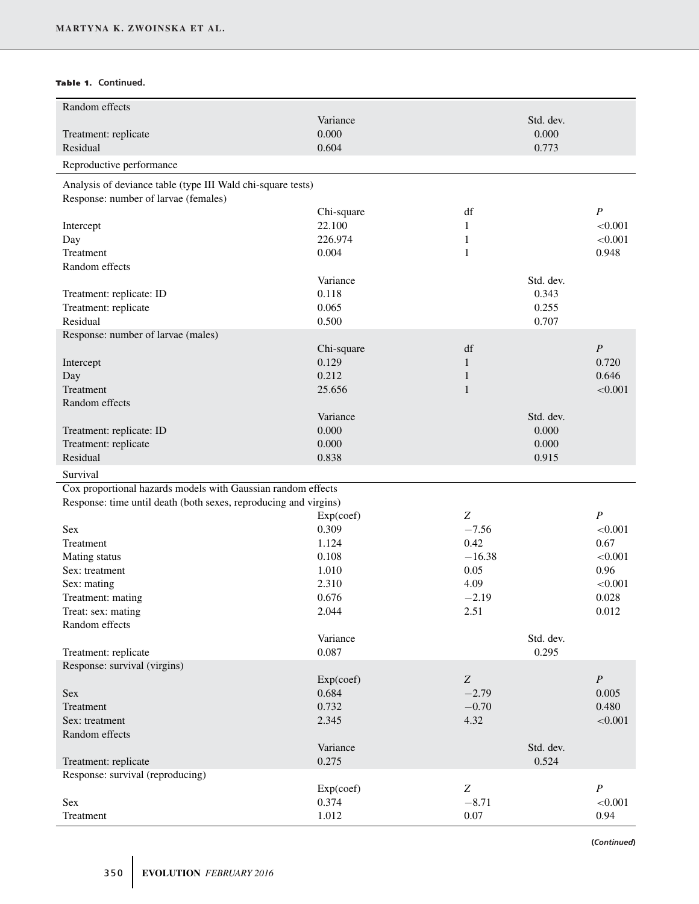#### **Table 1. Continued.**

| Random effects                                                   |            |                  |           |                  |
|------------------------------------------------------------------|------------|------------------|-----------|------------------|
|                                                                  | Variance   |                  | Std. dev. |                  |
| Treatment: replicate                                             | 0.000      |                  | 0.000     |                  |
| Residual                                                         | 0.604      |                  | 0.773     |                  |
| Reproductive performance                                         |            |                  |           |                  |
| Analysis of deviance table (type III Wald chi-square tests)      |            |                  |           |                  |
| Response: number of larvae (females)                             |            |                  |           |                  |
|                                                                  | Chi-square | df               |           | $\boldsymbol{P}$ |
| Intercept                                                        | 22.100     | 1                |           | < 0.001          |
| Day                                                              | 226.974    | 1                |           | < 0.001          |
| Treatment                                                        | 0.004      | 1                |           | 0.948            |
| Random effects                                                   |            |                  |           |                  |
|                                                                  | Variance   |                  | Std. dev. |                  |
| Treatment: replicate: ID                                         | 0.118      |                  | 0.343     |                  |
| Treatment: replicate                                             | 0.065      |                  | 0.255     |                  |
| Residual                                                         | 0.500      |                  | 0.707     |                  |
| Response: number of larvae (males)                               |            |                  |           |                  |
|                                                                  | Chi-square | df               |           | $\overline{P}$   |
| Intercept                                                        | 0.129      | 1                |           | 0.720            |
| Day                                                              | 0.212      | 1                |           | 0.646            |
| Treatment                                                        | 25.656     | 1                |           | < 0.001          |
| Random effects                                                   |            |                  |           |                  |
|                                                                  | Variance   |                  | Std. dev. |                  |
| Treatment: replicate: ID                                         | 0.000      |                  | 0.000     |                  |
| Treatment: replicate                                             | 0.000      |                  | 0.000     |                  |
| Residual                                                         | 0.838      |                  | 0.915     |                  |
| Survival                                                         |            |                  |           |                  |
| Cox proportional hazards models with Gaussian random effects     |            |                  |           |                  |
| Response: time until death (both sexes, reproducing and virgins) |            |                  |           |                  |
|                                                                  | Exp(coef)  | Z                |           | P                |
| Sex                                                              | 0.309      | $-7.56$          |           | < 0.001          |
| Treatment                                                        | 1.124      | 0.42             |           | 0.67             |
| Mating status                                                    | 0.108      | $-16.38$         |           | < 0.001          |
| Sex: treatment                                                   | 1.010      | 0.05             |           | 0.96             |
| Sex: mating                                                      | 2.310      | 4.09             |           | < 0.001          |
| Treatment: mating                                                | 0.676      | $-2.19$          |           | 0.028            |
| Treat: sex: mating                                               | 2.044      | 2.51             |           | 0.012            |
| Random effects                                                   |            |                  |           |                  |
|                                                                  | Variance   |                  | Std. dev. |                  |
| Treatment: replicate                                             | 0.087      |                  | 0.295     |                  |
| Response: survival (virgins)                                     |            |                  |           | $\boldsymbol{P}$ |
|                                                                  | Exp(coef)  | $\boldsymbol{Z}$ |           |                  |
| Sex                                                              | 0.684      | $-2.79$          |           | 0.005            |
| Treatment                                                        | 0.732      | $-0.70$          |           | 0.480            |
| Sex: treatment<br>Random effects                                 | 2.345      | 4.32             |           | < 0.001          |
|                                                                  | Variance   |                  | Std. dev. |                  |
| Treatment: replicate                                             | 0.275      |                  | 0.524     |                  |
| Response: survival (reproducing)                                 |            |                  |           |                  |
|                                                                  | Exp(coef)  | $\boldsymbol{Z}$ |           | $\boldsymbol{P}$ |
| Sex                                                              | 0.374      | $-8.71$          |           | < 0.001          |
| Treatment                                                        | 1.012      | $0.07\,$         |           | 0.94             |
|                                                                  |            |                  |           |                  |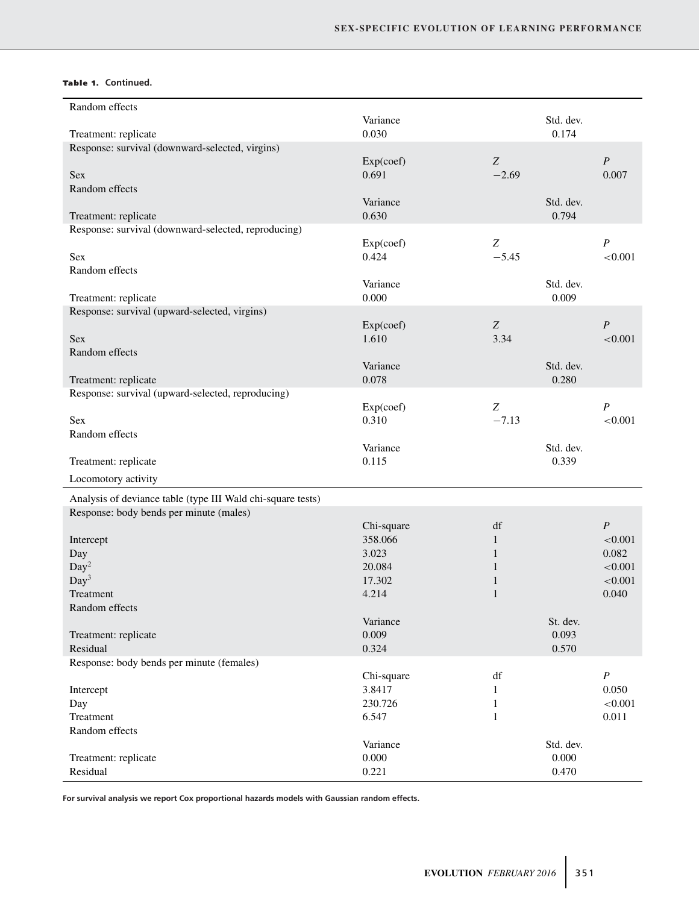## **Table 1. Continued.**

| Random effects                                              |                  |                        |                |                             |
|-------------------------------------------------------------|------------------|------------------------|----------------|-----------------------------|
|                                                             | Variance         |                        | Std. dev.      |                             |
| Treatment: replicate                                        | 0.030            |                        | 0.174          |                             |
| Response: survival (downward-selected, virgins)             |                  |                        |                |                             |
|                                                             | Exp(coef)        | Z                      |                | $\boldsymbol{P}$            |
| Sex                                                         | 0.691            | $-2.69$                |                | 0.007                       |
| Random effects                                              |                  |                        |                |                             |
|                                                             | Variance         |                        | Std. dev.      |                             |
| Treatment: replicate                                        | 0.630            |                        | 0.794          |                             |
| Response: survival (downward-selected, reproducing)         |                  |                        |                |                             |
|                                                             | Exp(coef)        | Z                      |                | $\boldsymbol{P}$            |
| Sex                                                         | 0.424            | $-5.45$                |                | < 0.001                     |
| Random effects                                              |                  |                        |                |                             |
|                                                             | Variance         |                        | Std. dev.      |                             |
| Treatment: replicate                                        | 0.000            |                        | 0.009          |                             |
| Response: survival (upward-selected, virgins)               |                  |                        |                |                             |
|                                                             | Exp(coef)        | $\boldsymbol{Z}$       |                | $\boldsymbol{P}$<br>< 0.001 |
| Sex<br>Random effects                                       | 1.610            | 3.34                   |                |                             |
|                                                             | Variance         |                        | Std. dev.      |                             |
| Treatment: replicate                                        | 0.078            |                        | 0.280          |                             |
| Response: survival (upward-selected, reproducing)           |                  |                        |                |                             |
|                                                             | Exp(coef)        | Z                      |                | $\boldsymbol{P}$            |
| <b>Sex</b>                                                  | 0.310            | $-7.13$                |                | < 0.001                     |
| Random effects                                              |                  |                        |                |                             |
|                                                             |                  |                        |                |                             |
|                                                             | Variance         |                        | Std. dev.      |                             |
| Treatment: replicate                                        | 0.115            |                        | 0.339          |                             |
| Locomotory activity                                         |                  |                        |                |                             |
|                                                             |                  |                        |                |                             |
| Analysis of deviance table (type III Wald chi-square tests) |                  |                        |                |                             |
| Response: body bends per minute (males)                     |                  |                        |                |                             |
|                                                             | Chi-square       | df                     |                | $\boldsymbol{P}$            |
| Intercept                                                   | 358.066          | $\mathbf{1}$<br>1      |                | < 0.001                     |
| Day                                                         | 3.023            | 1                      |                | 0.082                       |
| Day <sup>2</sup>                                            | 20.084<br>17.302 | 1                      |                | < 0.001<br>< 0.001          |
| Day <sup>3</sup><br>Treatment                               | 4.214            | $\mathbf{1}$           |                | 0.040                       |
|                                                             |                  |                        |                |                             |
| Random effects                                              | Variance         |                        | St. dev.       |                             |
| Treatment: replicate                                        | 0.009            |                        | 0.093          |                             |
| Residual                                                    | 0.324            |                        | 0.570          |                             |
| Response: body bends per minute (females)                   |                  |                        |                |                             |
|                                                             | Chi-square       | $\mathrm{d}\mathrm{f}$ |                | $\boldsymbol{P}$            |
| Intercept                                                   | 3.8417           | 1                      |                | 0.050                       |
| Day                                                         | 230.726          | 1                      |                | ${<}0.001$                  |
| Treatment                                                   | 6.547            | $\mathbf{1}$           |                | 0.011                       |
| Random effects                                              |                  |                        |                |                             |
|                                                             | Variance         |                        | Std. dev.      |                             |
| Treatment: replicate<br>Residual                            | 0.000<br>0.221   |                        | 0.000<br>0.470 |                             |

**For survival analysis we report Cox proportional hazards models with Gaussian random effects.**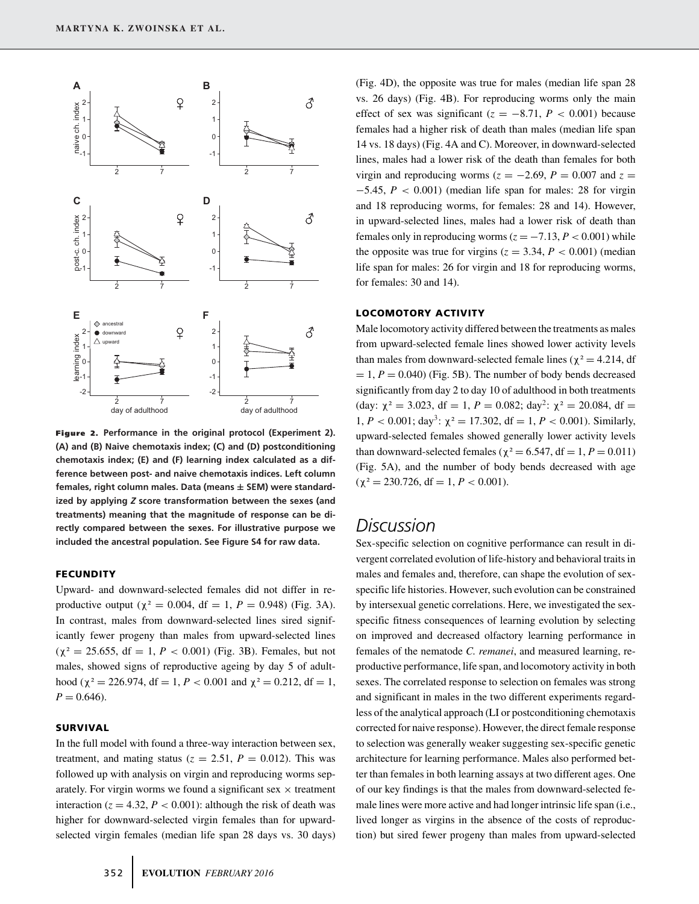

**Figure 2. Performance in the original protocol (Experiment 2). (A) and (B) Naive chemotaxis index; (C) and (D) postconditioning chemotaxis index; (E) and (F) learning index calculated as a difference between post- and naive chemotaxis indices. Left column females, right column males. Data (means ± SEM) were standardized by applying** *Z* **score transformation between the sexes (and treatments) meaning that the magnitude of response can be directly compared between the sexes. For illustrative purpose we included the ancestral population. See Figure S4 for raw data.**

#### **FECUNDITY**

Upward- and downward-selected females did not differ in reproductive output ( $\chi^2 = 0.004$ , df = 1, P = 0.948) (Fig. 3A). In contrast, males from downward-selected lines sired significantly fewer progeny than males from upward-selected lines  $(χ<sup>2</sup> = 25.655, df = 1, P < 0.001)$  (Fig. 3B). Females, but not males, showed signs of reproductive ageing by day 5 of adulthood ( $\chi^2 = 226.974$ , df = 1, *P* < 0.001 and  $\chi^2 = 0.212$ , df = 1,  $P = 0.646$ .

#### **SURVIVAL**

In the full model with found a three-way interaction between sex, treatment, and mating status  $(z = 2.51, P = 0.012)$ . This was followed up with analysis on virgin and reproducing worms separately. For virgin worms we found a significant sex  $\times$  treatment interaction  $(z = 4.32, P < 0.001)$ : although the risk of death was higher for downward-selected virgin females than for upwardselected virgin females (median life span 28 days vs. 30 days)

(Fig. 4D), the opposite was true for males (median life span 28 vs. 26 days) (Fig. 4B). For reproducing worms only the main effect of sex was significant ( $z = -8.71$ ,  $P < 0.001$ ) because females had a higher risk of death than males (median life span 14 vs. 18 days) (Fig. 4A and C). Moreover, in downward-selected lines, males had a lower risk of the death than females for both virgin and reproducing worms ( $z = -2.69$ ,  $P = 0.007$  and  $z =$ −5.45, *P <* 0.001) (median life span for males: 28 for virgin and 18 reproducing worms, for females: 28 and 14). However, in upward-selected lines, males had a lower risk of death than females only in reproducing worms  $(z = -7.13, P < 0.001)$  while the opposite was true for virgins ( $z = 3.34$ ,  $P < 0.001$ ) (median life span for males: 26 for virgin and 18 for reproducing worms, for females: 30 and 14).

#### **LOCOMOTORY ACTIVITY**

Male locomotory activity differed between the treatments as males from upward-selected female lines showed lower activity levels than males from downward-selected female lines ( $\chi^2 = 4.214$ , df  $= 1, P = 0.040$ ) (Fig. 5B). The number of body bends decreased significantly from day 2 to day 10 of adulthood in both treatments (day:  $\chi^2 = 3.023$ , df = 1, P = 0.082; day<sup>2</sup>:  $\chi^2 = 20.084$ , df = 1, *P* < 0.001; day<sup>3</sup>:  $\chi^2$  = 17.302, df = 1, *P* < 0.001). Similarly, upward-selected females showed generally lower activity levels than downward-selected females ( $\chi^2$  = 6.547, df = 1, *P* = 0.011) (Fig. 5A), and the number of body bends decreased with age  $(\chi^2 = 230.726, df = 1, P < 0.001).$ 

# *Discussion*

Sex-specific selection on cognitive performance can result in divergent correlated evolution of life-history and behavioral traits in males and females and, therefore, can shape the evolution of sexspecific life histories. However, such evolution can be constrained by intersexual genetic correlations. Here, we investigated the sexspecific fitness consequences of learning evolution by selecting on improved and decreased olfactory learning performance in females of the nematode *C. remanei*, and measured learning, reproductive performance, life span, and locomotory activity in both sexes. The correlated response to selection on females was strong and significant in males in the two different experiments regardless of the analytical approach (LI or postconditioning chemotaxis corrected for naive response). However, the direct female response to selection was generally weaker suggesting sex-specific genetic architecture for learning performance. Males also performed better than females in both learning assays at two different ages. One of our key findings is that the males from downward-selected female lines were more active and had longer intrinsic life span (i.e., lived longer as virgins in the absence of the costs of reproduction) but sired fewer progeny than males from upward-selected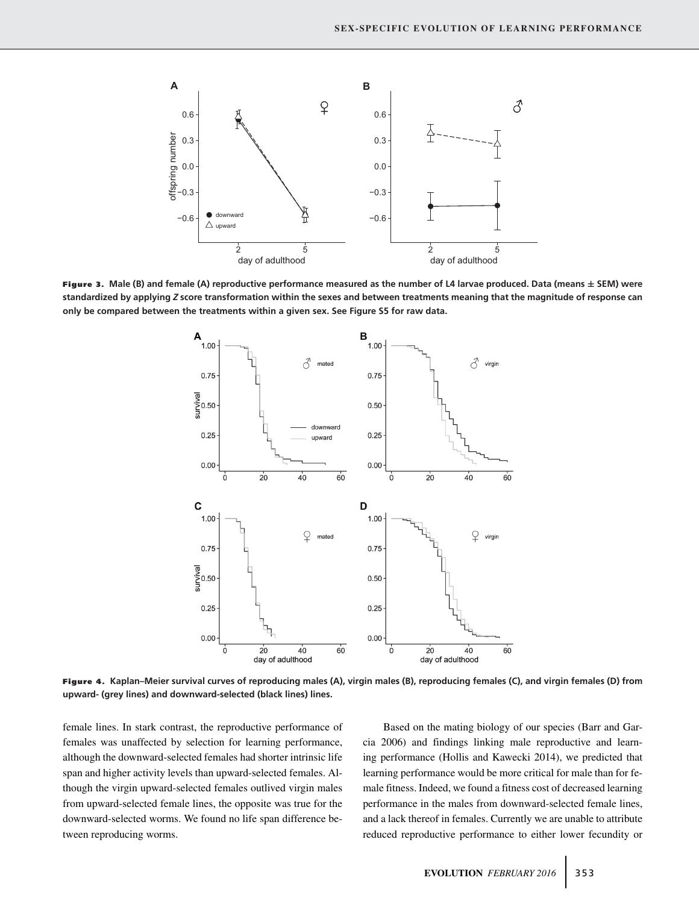

**Figure 3. Male (B) and female (A) reproductive performance measured as the number of L4 larvae produced. Data (means ± SEM) were standardized by applying** *Z* **score transformation within the sexes and between treatments meaning that the magnitude of response can only be compared between the treatments within a given sex. See Figure S5 for raw data.**



**Figure 4. Kaplan–Meier survival curves of reproducing males (A), virgin males (B), reproducing females (C), and virgin females (D) from upward- (grey lines) and downward-selected (black lines) lines.**

female lines. In stark contrast, the reproductive performance of females was unaffected by selection for learning performance, although the downward-selected females had shorter intrinsic life span and higher activity levels than upward-selected females. Although the virgin upward-selected females outlived virgin males from upward-selected female lines, the opposite was true for the downward-selected worms. We found no life span difference between reproducing worms.

Based on the mating biology of our species (Barr and Garcia 2006) and findings linking male reproductive and learning performance (Hollis and Kawecki 2014), we predicted that learning performance would be more critical for male than for female fitness. Indeed, we found a fitness cost of decreased learning performance in the males from downward-selected female lines, and a lack thereof in females. Currently we are unable to attribute reduced reproductive performance to either lower fecundity or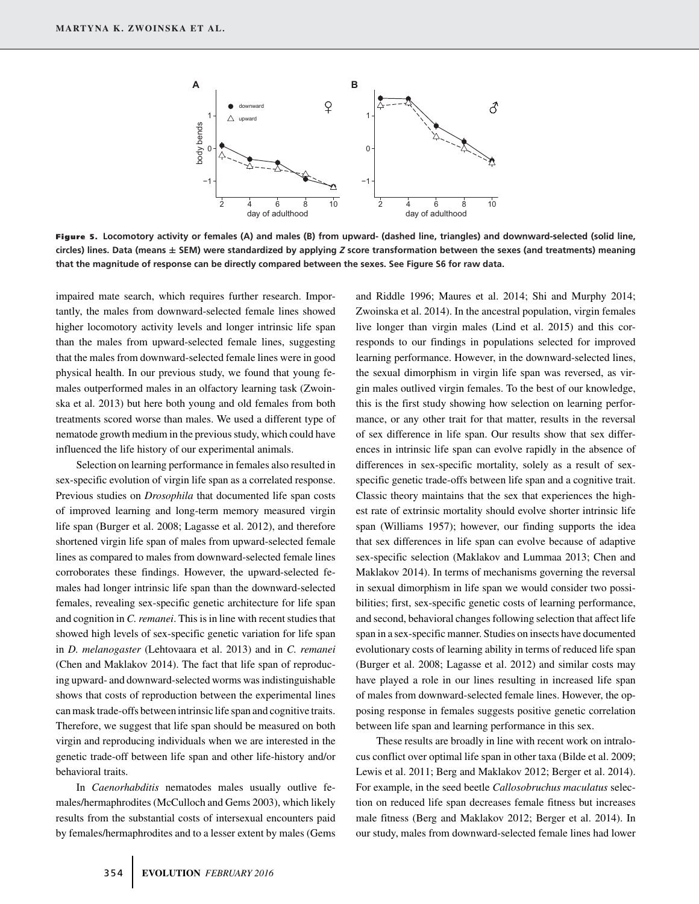

**Figure 5. Locomotory activity or females (A) and males (B) from upward- (dashed line, triangles) and downward-selected (solid line, circles) lines. Data (means ± SEM) were standardized by applying** *Z* **score transformation between the sexes (and treatments) meaning that the magnitude of response can be directly compared between the sexes. See Figure S6 for raw data.**

impaired mate search, which requires further research. Importantly, the males from downward-selected female lines showed higher locomotory activity levels and longer intrinsic life span than the males from upward-selected female lines, suggesting that the males from downward-selected female lines were in good physical health. In our previous study, we found that young females outperformed males in an olfactory learning task (Zwoinska et al. 2013) but here both young and old females from both treatments scored worse than males. We used a different type of nematode growth medium in the previous study, which could have influenced the life history of our experimental animals.

Selection on learning performance in females also resulted in sex-specific evolution of virgin life span as a correlated response. Previous studies on *Drosophila* that documented life span costs of improved learning and long-term memory measured virgin life span (Burger et al. 2008; Lagasse et al. 2012), and therefore shortened virgin life span of males from upward-selected female lines as compared to males from downward-selected female lines corroborates these findings. However, the upward-selected females had longer intrinsic life span than the downward-selected females, revealing sex-specific genetic architecture for life span and cognition in *C. remanei*. This is in line with recent studies that showed high levels of sex-specific genetic variation for life span in *D. melanogaster* (Lehtovaara et al. 2013) and in *C. remanei* (Chen and Maklakov 2014). The fact that life span of reproducing upward- and downward-selected worms was indistinguishable shows that costs of reproduction between the experimental lines can mask trade-offs between intrinsic life span and cognitive traits. Therefore, we suggest that life span should be measured on both virgin and reproducing individuals when we are interested in the genetic trade-off between life span and other life-history and/or behavioral traits.

In *Caenorhabditis* nematodes males usually outlive females/hermaphrodites (McCulloch and Gems 2003), which likely results from the substantial costs of intersexual encounters paid by females/hermaphrodites and to a lesser extent by males (Gems and Riddle 1996; Maures et al. 2014; Shi and Murphy 2014; Zwoinska et al. 2014). In the ancestral population, virgin females live longer than virgin males (Lind et al. 2015) and this corresponds to our findings in populations selected for improved learning performance. However, in the downward-selected lines, the sexual dimorphism in virgin life span was reversed, as virgin males outlived virgin females. To the best of our knowledge, this is the first study showing how selection on learning performance, or any other trait for that matter, results in the reversal of sex difference in life span. Our results show that sex differences in intrinsic life span can evolve rapidly in the absence of differences in sex-specific mortality, solely as a result of sexspecific genetic trade-offs between life span and a cognitive trait. Classic theory maintains that the sex that experiences the highest rate of extrinsic mortality should evolve shorter intrinsic life span (Williams 1957); however, our finding supports the idea that sex differences in life span can evolve because of adaptive sex-specific selection (Maklakov and Lummaa 2013; Chen and Maklakov 2014). In terms of mechanisms governing the reversal in sexual dimorphism in life span we would consider two possibilities; first, sex-specific genetic costs of learning performance, and second, behavioral changes following selection that affect life span in a sex-specific manner. Studies on insects have documented evolutionary costs of learning ability in terms of reduced life span (Burger et al. 2008; Lagasse et al. 2012) and similar costs may have played a role in our lines resulting in increased life span of males from downward-selected female lines. However, the opposing response in females suggests positive genetic correlation between life span and learning performance in this sex.

These results are broadly in line with recent work on intralocus conflict over optimal life span in other taxa (Bilde et al. 2009; Lewis et al. 2011; Berg and Maklakov 2012; Berger et al. 2014). For example, in the seed beetle *Callosobruchus maculatus* selection on reduced life span decreases female fitness but increases male fitness (Berg and Maklakov 2012; Berger et al. 2014). In our study, males from downward-selected female lines had lower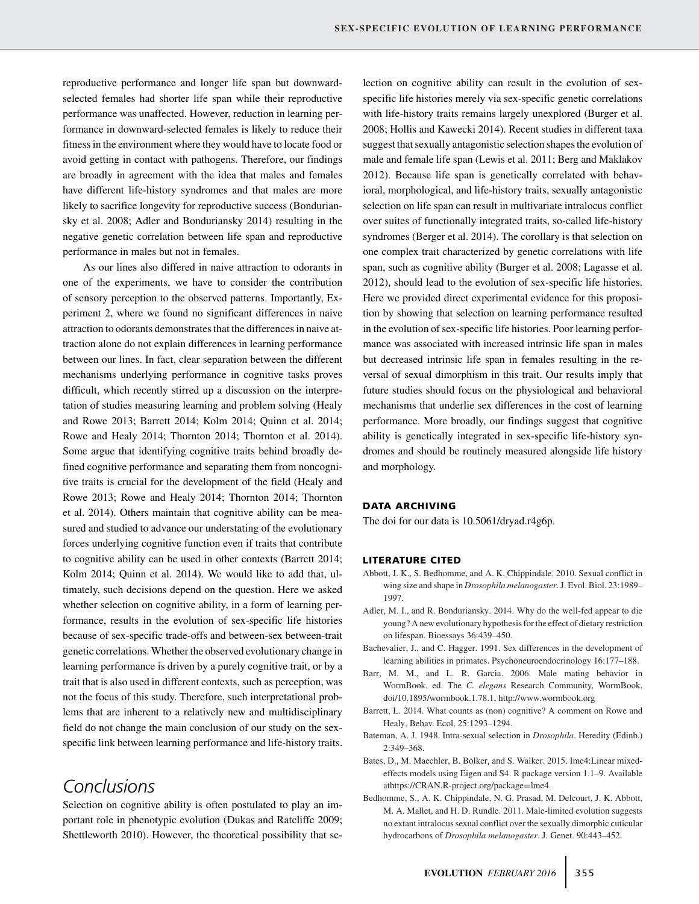reproductive performance and longer life span but downwardselected females had shorter life span while their reproductive performance was unaffected. However, reduction in learning performance in downward-selected females is likely to reduce their fitness in the environment where they would have to locate food or avoid getting in contact with pathogens. Therefore, our findings are broadly in agreement with the idea that males and females have different life-history syndromes and that males are more likely to sacrifice longevity for reproductive success (Bonduriansky et al. 2008; Adler and Bonduriansky 2014) resulting in the negative genetic correlation between life span and reproductive performance in males but not in females.

As our lines also differed in naive attraction to odorants in one of the experiments, we have to consider the contribution of sensory perception to the observed patterns. Importantly, Experiment 2, where we found no significant differences in naive attraction to odorants demonstrates that the differences in naive attraction alone do not explain differences in learning performance between our lines. In fact, clear separation between the different mechanisms underlying performance in cognitive tasks proves difficult, which recently stirred up a discussion on the interpretation of studies measuring learning and problem solving (Healy and Rowe 2013; Barrett 2014; Kolm 2014; Quinn et al. 2014; Rowe and Healy 2014; Thornton 2014; Thornton et al. 2014). Some argue that identifying cognitive traits behind broadly defined cognitive performance and separating them from noncognitive traits is crucial for the development of the field (Healy and Rowe 2013; Rowe and Healy 2014; Thornton 2014; Thornton et al. 2014). Others maintain that cognitive ability can be measured and studied to advance our understating of the evolutionary forces underlying cognitive function even if traits that contribute to cognitive ability can be used in other contexts (Barrett 2014; Kolm 2014; Quinn et al. 2014). We would like to add that, ultimately, such decisions depend on the question. Here we asked whether selection on cognitive ability, in a form of learning performance, results in the evolution of sex-specific life histories because of sex-specific trade-offs and between-sex between-trait genetic correlations. Whether the observed evolutionary change in learning performance is driven by a purely cognitive trait, or by a trait that is also used in different contexts, such as perception, was not the focus of this study. Therefore, such interpretational problems that are inherent to a relatively new and multidisciplinary field do not change the main conclusion of our study on the sexspecific link between learning performance and life-history traits.

# *Conclusions*

Selection on cognitive ability is often postulated to play an important role in phenotypic evolution (Dukas and Ratcliffe 2009; Shettleworth 2010). However, the theoretical possibility that selection on cognitive ability can result in the evolution of sexspecific life histories merely via sex-specific genetic correlations with life-history traits remains largely unexplored (Burger et al. 2008; Hollis and Kawecki 2014). Recent studies in different taxa suggest that sexually antagonistic selection shapes the evolution of male and female life span (Lewis et al. 2011; Berg and Maklakov 2012). Because life span is genetically correlated with behavioral, morphological, and life-history traits, sexually antagonistic selection on life span can result in multivariate intralocus conflict over suites of functionally integrated traits, so-called life-history syndromes (Berger et al. 2014). The corollary is that selection on one complex trait characterized by genetic correlations with life span, such as cognitive ability (Burger et al. 2008; Lagasse et al. 2012), should lead to the evolution of sex-specific life histories. Here we provided direct experimental evidence for this proposition by showing that selection on learning performance resulted in the evolution of sex-specific life histories. Poor learning performance was associated with increased intrinsic life span in males but decreased intrinsic life span in females resulting in the reversal of sexual dimorphism in this trait. Our results imply that future studies should focus on the physiological and behavioral mechanisms that underlie sex differences in the cost of learning performance. More broadly, our findings suggest that cognitive ability is genetically integrated in sex-specific life-history syndromes and should be routinely measured alongside life history and morphology.

#### **DATA ARCHIVING**

The doi for our data is 10.5061/dryad.r4g6p.

#### **LITERATURE CITED**

- Abbott, J. K., S. Bedhomme, and A. K. Chippindale. 2010. Sexual conflict in wing size and shape in *Drosophila melanogaster*. J. Evol. Biol. 23:1989– 1997.
- Adler, M. I., and R. Bonduriansky. 2014. Why do the well-fed appear to die young? A new evolutionary hypothesis for the effect of dietary restriction on lifespan. Bioessays 36:439–450.
- Bachevalier, J., and C. Hagger. 1991. Sex differences in the development of learning abilities in primates. Psychoneuroendocrinology 16:177–188.
- Barr, M. M., and L. R. Garcia. 2006. Male mating behavior in WormBook, ed. The *C. elegans* Research Community, WormBook, doi/10.1895/wormbook.1.78.1,<http://www.wormbook.org>
- Barrett, L. 2014. What counts as (non) cognitive? A comment on Rowe and Healy. Behav. Ecol. 25:1293–1294.
- Bateman, A. J. 1948. Intra-sexual selection in *Drosophila*. Heredity (Edinb.) 2:349–368.
- Bates, D., M. Maechler, B. Bolker, and S. Walker. 2015. Ime4:Linear mixedeffects models using Eigen and S4. R package version 1.1–9. Available a[thttps://CRAN.R-project.org/package](https://CRAN.R-project.org/package=lme4)=lme4.
- Bedhomme, S., A. K. Chippindale, N. G. Prasad, M. Delcourt, J. K. Abbott, M. A. Mallet, and H. D. Rundle. 2011. Male-limited evolution suggests no extant intralocus sexual conflict over the sexually dimorphic cuticular hydrocarbons of *Drosophila melanogaster*. J. Genet. 90:443–452.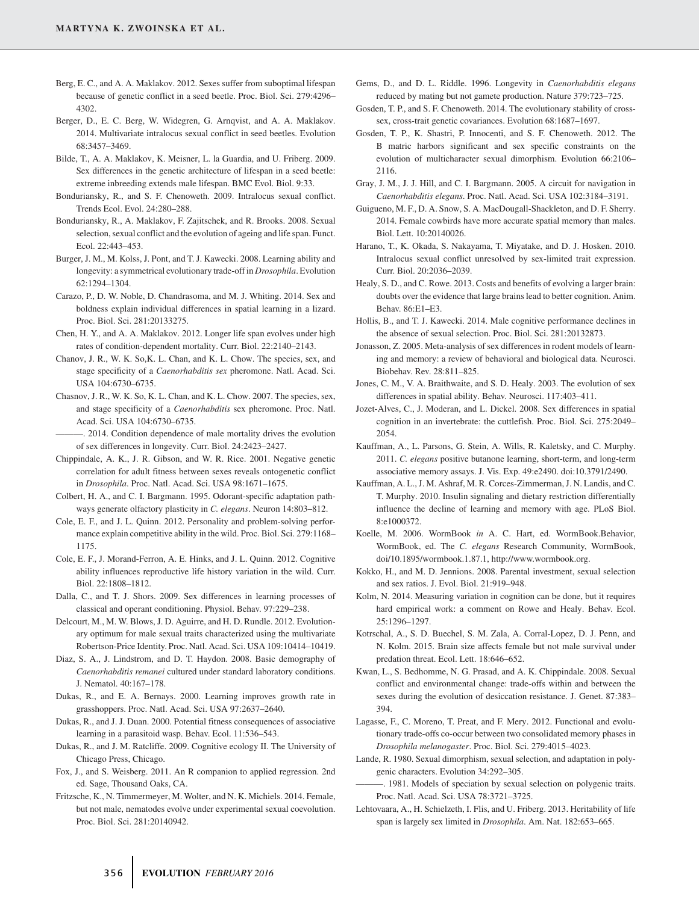- Berg, E. C., and A. A. Maklakov. 2012. Sexes suffer from suboptimal lifespan because of genetic conflict in a seed beetle. Proc. Biol. Sci. 279:4296– 4302.
- Berger, D., E. C. Berg, W. Widegren, G. Arnqvist, and A. A. Maklakov. 2014. Multivariate intralocus sexual conflict in seed beetles. Evolution 68:3457–3469.
- Bilde, T., A. A. Maklakov, K. Meisner, L. la Guardia, and U. Friberg. 2009. Sex differences in the genetic architecture of lifespan in a seed beetle: extreme inbreeding extends male lifespan. BMC Evol. Biol. 9:33.
- Bonduriansky, R., and S. F. Chenoweth. 2009. Intralocus sexual conflict. Trends Ecol. Evol. 24:280–288.
- Bonduriansky, R., A. Maklakov, F. Zajitschek, and R. Brooks. 2008. Sexual selection, sexual conflict and the evolution of ageing and life span. Funct. Ecol. 22:443–453.
- Burger, J. M., M. Kolss, J. Pont, and T. J. Kawecki. 2008. Learning ability and longevity: a symmetrical evolutionary trade-off in *Drosophila*. Evolution 62:1294–1304.
- Carazo, P., D. W. Noble, D. Chandrasoma, and M. J. Whiting. 2014. Sex and boldness explain individual differences in spatial learning in a lizard. Proc. Biol. Sci. 281:20133275.
- Chen, H. Y., and A. A. Maklakov. 2012. Longer life span evolves under high rates of condition-dependent mortality. Curr. Biol. 22:2140–2143.
- Chanov, J. R., W. K. So,K. L. Chan, and K. L. Chow. The species, sex, and stage specificity of a *Caenorhabditis sex* pheromone. Natl. Acad. Sci. USA 104:6730–6735.
- Chasnov, J. R., W. K. So, K. L. Chan, and K. L. Chow. 2007. The species, sex, and stage specificity of a *Caenorhabditis* sex pheromone. Proc. Natl. Acad. Sci. USA 104:6730–6735.
- -. 2014. Condition dependence of male mortality drives the evolution of sex differences in longevity. Curr. Biol. 24:2423–2427.
- Chippindale, A. K., J. R. Gibson, and W. R. Rice. 2001. Negative genetic correlation for adult fitness between sexes reveals ontogenetic conflict in *Drosophila*. Proc. Natl. Acad. Sci. USA 98:1671–1675.
- Colbert, H. A., and C. I. Bargmann. 1995. Odorant-specific adaptation pathways generate olfactory plasticity in *C. elegans*. Neuron 14:803–812.
- Cole, E. F., and J. L. Quinn. 2012. Personality and problem-solving performance explain competitive ability in the wild. Proc. Biol. Sci. 279:1168– 1175.
- Cole, E. F., J. Morand-Ferron, A. E. Hinks, and J. L. Quinn. 2012. Cognitive ability influences reproductive life history variation in the wild. Curr. Biol. 22:1808–1812.
- Dalla, C., and T. J. Shors. 2009. Sex differences in learning processes of classical and operant conditioning. Physiol. Behav. 97:229–238.
- Delcourt, M., M. W. Blows, J. D. Aguirre, and H. D. Rundle. 2012. Evolutionary optimum for male sexual traits characterized using the multivariate Robertson-Price Identity. Proc. Natl. Acad. Sci. USA 109:10414–10419.
- Diaz, S. A., J. Lindstrom, and D. T. Haydon. 2008. Basic demography of *Caenorhabditis remanei* cultured under standard laboratory conditions. J. Nematol. 40:167–178.
- Dukas, R., and E. A. Bernays. 2000. Learning improves growth rate in grasshoppers. Proc. Natl. Acad. Sci. USA 97:2637–2640.
- Dukas, R., and J. J. Duan. 2000. Potential fitness consequences of associative learning in a parasitoid wasp. Behav. Ecol. 11:536–543.
- Dukas, R., and J. M. Ratcliffe. 2009. Cognitive ecology II. The University of Chicago Press, Chicago.
- Fox, J., and S. Weisberg. 2011. An R companion to applied regression. 2nd ed. Sage, Thousand Oaks, CA.
- Fritzsche, K., N. Timmermeyer, M. Wolter, and N. K. Michiels. 2014. Female, but not male, nematodes evolve under experimental sexual coevolution. Proc. Biol. Sci. 281:20140942.
- Gems, D., and D. L. Riddle. 1996. Longevity in *Caenorhabditis elegans* reduced by mating but not gamete production. Nature 379:723–725.
- Gosden, T. P., and S. F. Chenoweth. 2014. The evolutionary stability of crosssex, cross-trait genetic covariances. Evolution 68:1687–1697.
- Gosden, T. P., K. Shastri, P. Innocenti, and S. F. Chenoweth. 2012. The B matric harbors significant and sex specific constraints on the evolution of multicharacter sexual dimorphism. Evolution 66:2106– 2116.
- Gray, J. M., J. J. Hill, and C. I. Bargmann. 2005. A circuit for navigation in *Caenorhabditis elegans*. Proc. Natl. Acad. Sci. USA 102:3184–3191.
- Guigueno, M. F., D. A. Snow, S. A. MacDougall-Shackleton, and D. F. Sherry. 2014. Female cowbirds have more accurate spatial memory than males. Biol. Lett. 10:20140026.
- Harano, T., K. Okada, S. Nakayama, T. Miyatake, and D. J. Hosken. 2010. Intralocus sexual conflict unresolved by sex-limited trait expression. Curr. Biol. 20:2036–2039.
- Healy, S. D., and C. Rowe. 2013. Costs and benefits of evolving a larger brain: doubts over the evidence that large brains lead to better cognition. Anim. Behav. 86:E1–E3.
- Hollis, B., and T. J. Kawecki. 2014. Male cognitive performance declines in the absence of sexual selection. Proc. Biol. Sci. 281:20132873.
- Jonasson, Z. 2005. Meta-analysis of sex differences in rodent models of learning and memory: a review of behavioral and biological data. Neurosci. Biobehav. Rev. 28:811–825.
- Jones, C. M., V. A. Braithwaite, and S. D. Healy. 2003. The evolution of sex differences in spatial ability. Behav. Neurosci. 117:403–411.
- Jozet-Alves, C., J. Moderan, and L. Dickel. 2008. Sex differences in spatial cognition in an invertebrate: the cuttlefish. Proc. Biol. Sci. 275:2049– 2054.
- Kauffman, A., L. Parsons, G. Stein, A. Wills, R. Kaletsky, and C. Murphy. 2011. *C. elegans* positive butanone learning, short-term, and long-term associative memory assays. J. Vis. Exp. 49:e2490. doi:10.3791/2490.
- Kauffman, A. L., J. M. Ashraf, M. R. Corces-Zimmerman, J. N. Landis, and C. T. Murphy. 2010. Insulin signaling and dietary restriction differentially influence the decline of learning and memory with age. PLoS Biol. 8:e1000372.
- Koelle, M. 2006. WormBook *in* A. C. Hart, ed. WormBook.Behavior, WormBook, ed. The *C. elegans* Research Community, WormBook, doi/10.1895/wormbook.1.87.1, [http://www.wormbook.org.](http://www.wormbook.org)
- Kokko, H., and M. D. Jennions. 2008. Parental investment, sexual selection and sex ratios. J. Evol. Biol. 21:919–948.
- Kolm, N. 2014. Measuring variation in cognition can be done, but it requires hard empirical work: a comment on Rowe and Healy. Behav. Ecol. 25:1296–1297.
- Kotrschal, A., S. D. Buechel, S. M. Zala, A. Corral-Lopez, D. J. Penn, and N. Kolm. 2015. Brain size affects female but not male survival under predation threat. Ecol. Lett. 18:646–652.
- Kwan, L., S. Bedhomme, N. G. Prasad, and A. K. Chippindale. 2008. Sexual conflict and environmental change: trade-offs within and between the sexes during the evolution of desiccation resistance. J. Genet. 87:383– 394.
- Lagasse, F., C. Moreno, T. Preat, and F. Mery. 2012. Functional and evolutionary trade-offs co-occur between two consolidated memory phases in *Drosophila melanogaster*. Proc. Biol. Sci. 279:4015–4023.
- Lande, R. 1980. Sexual dimorphism, sexual selection, and adaptation in polygenic characters. Evolution 34:292–305.
	- -. 1981. Models of speciation by sexual selection on polygenic traits. Proc. Natl. Acad. Sci. USA 78:3721–3725.
- Lehtovaara, A., H. Schielzeth, I. Flis, and U. Friberg. 2013. Heritability of life span is largely sex limited in *Drosophila*. Am. Nat. 182:653–665.